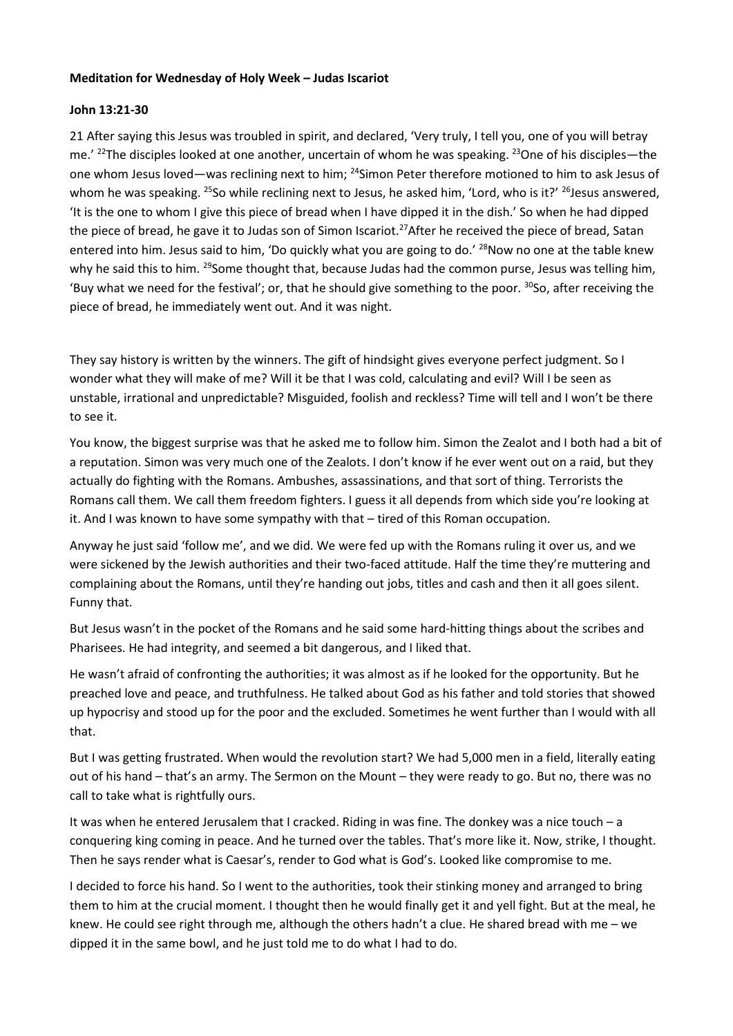## **Meditation for Wednesday of Holy Week – Judas Iscariot**

## **John 13:21-30**

21 After saying this Jesus was troubled in spirit, and declared, 'Very truly, I tell you, one of you will betray me.' <sup>22</sup>The disciples looked at one another, uncertain of whom he was speaking. <sup>23</sup>One of his disciples—the one whom Jesus loved—was reclining next to him; <sup>24</sup>Simon Peter therefore motioned to him to ask Jesus of whom he was speaking. <sup>25</sup>So while reclining next to Jesus, he asked him, 'Lord, who is it?' <sup>26</sup>Jesus answered, 'It is the one to whom I give this piece of bread when I have dipped it in the dish.' So when he had dipped the piece of bread, he gave it to Judas son of Simon Iscariot.<sup>27</sup>After he received the piece of bread, Satan entered into him. Jesus said to him, 'Do quickly what you are going to do.' <sup>28</sup>Now no one at the table knew why he said this to him. <sup>29</sup>Some thought that, because Judas had the common purse, Jesus was telling him, 'Buy what we need for the festival'; or, that he should give something to the poor.  $^{30}$ So, after receiving the piece of bread, he immediately went out. And it was night.

They say history is written by the winners. The gift of hindsight gives everyone perfect judgment. So I wonder what they will make of me? Will it be that I was cold, calculating and evil? Will I be seen as unstable, irrational and unpredictable? Misguided, foolish and reckless? Time will tell and I won't be there to see it.

You know, the biggest surprise was that he asked me to follow him. Simon the Zealot and I both had a bit of a reputation. Simon was very much one of the Zealots. I don't know if he ever went out on a raid, but they actually do fighting with the Romans. Ambushes, assassinations, and that sort of thing. Terrorists the Romans call them. We call them freedom fighters. I guess it all depends from which side you're looking at it. And I was known to have some sympathy with that – tired of this Roman occupation.

Anyway he just said 'follow me', and we did. We were fed up with the Romans ruling it over us, and we were sickened by the Jewish authorities and their two-faced attitude. Half the time they're muttering and complaining about the Romans, until they're handing out jobs, titles and cash and then it all goes silent. Funny that.

But Jesus wasn't in the pocket of the Romans and he said some hard-hitting things about the scribes and Pharisees. He had integrity, and seemed a bit dangerous, and I liked that.

He wasn't afraid of confronting the authorities; it was almost as if he looked for the opportunity. But he preached love and peace, and truthfulness. He talked about God as his father and told stories that showed up hypocrisy and stood up for the poor and the excluded. Sometimes he went further than I would with all that.

But I was getting frustrated. When would the revolution start? We had 5,000 men in a field, literally eating out of his hand – that's an army. The Sermon on the Mount – they were ready to go. But no, there was no call to take what is rightfully ours.

It was when he entered Jerusalem that I cracked. Riding in was fine. The donkey was a nice touch – a conquering king coming in peace. And he turned over the tables. That's more like it. Now, strike, I thought. Then he says render what is Caesar's, render to God what is God's. Looked like compromise to me.

I decided to force his hand. So I went to the authorities, took their stinking money and arranged to bring them to him at the crucial moment. I thought then he would finally get it and yell fight. But at the meal, he knew. He could see right through me, although the others hadn't a clue. He shared bread with me – we dipped it in the same bowl, and he just told me to do what I had to do.